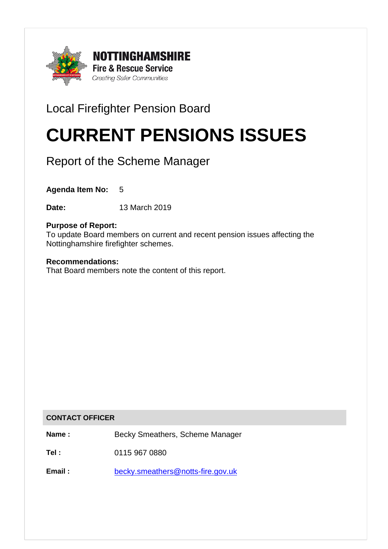

# Local Firefighter Pension Board

# CURRENT PENSIONS ISSUES

Report of the Scheme Manager

**Agenda Item No:** 5

**Date:** 13 March 2019

# **Purpose of Report:**

To update Board members on current and recent pension issues affecting the Nottinghamshire firefighter schemes.

## **Recommendations:**

That Board members note the content of this report.

#### **CONTACT OFFICER**

**Name :** Becky Smeathers, Scheme Manager

**Tel :** 0115 967 0880

Email : [becky.smeathers@notts-fire.gov.uk](mailto:becky.smeathers@notts-fire.gov.uk)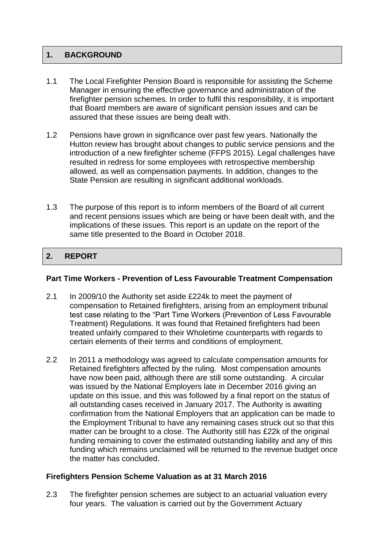# **1. BACKGROUND**

- 1.1 The Local Firefighter Pension Board is responsible for assisting the Scheme Manager in ensuring the effective governance and administration of the firefighter pension schemes. In order to fulfil this responsibility, it is important that Board members are aware of significant pension issues and can be assured that these issues are being dealt with.
- 1.2 Pensions have grown in significance over past few years. Nationally the Hutton review has brought about changes to public service pensions and the introduction of a new firefighter scheme (FFPS 2015). Legal challenges have resulted in redress for some employees with retrospective membership allowed, as well as compensation payments. In addition, changes to the State Pension are resulting in significant additional workloads.
- 1.3 The purpose of this report is to inform members of the Board of all current and recent pensions issues which are being or have been dealt with, and the implications of these issues. This report is an update on the report of the same title presented to the Board in October 2018.

# 2. REPORT

#### **Part Time Workers - Prevention of Less Favourable Treatment Compensation**

- 2.1 In 2009/10 the Authority set aside £224k to meet the payment of compensation to Retained firefighters, arising from an employment tribunal test case relating to the "Part Time Workers (Prevention of Less Favourable Treatment) Regulations. It was found that Retained firefighters had been treated unfairly compared to their Wholetime counterparts with regards to certain elements of their terms and conditions of employment.
- 2.2 In 2011 a methodology was agreed to calculate compensation amounts for Retained firefighters affected by the ruling. Most compensation amounts have now been paid, although there are still some outstanding. A circular was issued by the National Employers late in December 2016 giving an update on this issue, and this was followed by a final report on the status of all outstanding cases received in January 2017. The Authority is awaiting confirmation from the National Employers that an application can be made to the Employment Tribunal to have any remaining cases struck out so that this matter can be brought to a close. The Authority still has £22k of the original funding remaining to cover the estimated outstanding liability and any of this funding which remains unclaimed will be returned to the revenue budget once the matter has concluded.

# **Firefighters Pension Scheme Valuation as at 31 March 2016**

2.3 The firefighter pension schemes are subject to an actuarial valuation every four years. The valuation is carried out by the Government Actuary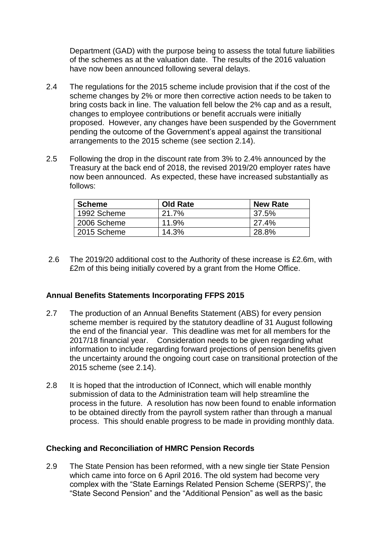Department (GAD) with the purpose being to assess the total future liabilities of the schemes as at the valuation date. The results of the 2016 valuation have now been announced following several delays.

- 2.4 The regulations for the 2015 scheme include provision that if the cost of the scheme changes by 2% or more then corrective action needs to be taken to bring costs back in line. The valuation fell below the 2% cap and as a result, changes to employee contributions or benefit accruals were initially proposed. However, any changes have been suspended by the Government pending the outcome of the Government's appeal against the transitional arrangements to the 2015 scheme (see section 2.14).
- 2.5 Following the drop in the discount rate from 3% to 2.4% announced by the Treasury at the back end of 2018, the revised 2019/20 employer rates have now been announced. As expected, these have increased substantially as follows:

| <b>Scheme</b> | <b>Old Rate</b> | <b>New Rate</b> |
|---------------|-----------------|-----------------|
| 1992 Scheme   | 21.7%           | 37.5%           |
| 2006 Scheme   | 11.9%           | 27.4%           |
| 2015 Scheme   | 14.3%           | 28.8%           |

2.6 The 2019/20 additional cost to the Authority of these increase is £2.6m, with £2m of this being initially covered by a grant from the Home Office.

#### **Annual Benefits Statements Incorporating FFPS 2015**

- 2.7 The production of an Annual Benefits Statement (ABS) for every pension scheme member is required by the statutory deadline of 31 August following the end of the financial year. This deadline was met for all members for the 2017/18 financial year. Consideration needs to be given regarding what information to include regarding forward projections of pension benefits given the uncertainty around the ongoing court case on transitional protection of the 2015 scheme (see 2.14).
- 2.8 It is hoped that the introduction of IConnect, which will enable monthly submission of data to the Administration team will help streamline the process in the future. A resolution has now been found to enable information to be obtained directly from the payroll system rather than through a manual process. This should enable progress to be made in providing monthly data.

#### **Checking and Reconciliation of HMRC Pension Records**

2.9 The State Pension has been reformed, with a new single tier State Pension which came into force on 6 April 2016. The old system had become very complex with the "State Earnings Related Pension Scheme (SERPS)", the "State Second Pension" and the "Additional Pension" as well as the basic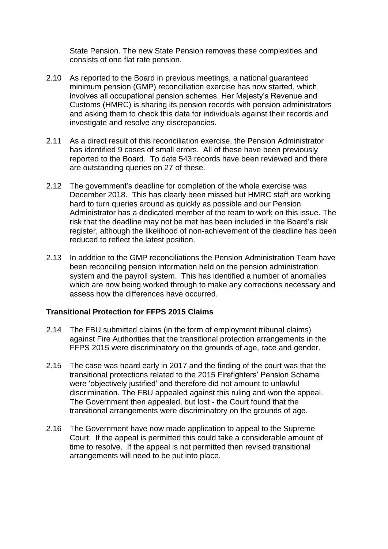State Pension. The new State Pension removes these complexities and consists of one flat rate pension.

- 2.10 As reported to the Board in previous meetings, a national guaranteed minimum pension (GMP) reconciliation exercise has now started, which involves all occupational pension schemes. Her Majesty's Revenue and Customs (HMRC) is sharing its pension records with pension administrators and asking them to check this data for individuals against their records and investigate and resolve any discrepancies.
- 2.11 As a direct result of this reconciliation exercise, the Pension Administrator has identified 9 cases of small errors. All of these have been previously reported to the Board. To date 543 records have been reviewed and there are outstanding queries on 27 of these.
- 2.12 The government's deadline for completion of the whole exercise was December 2018. This has clearly been missed but HMRC staff are working hard to turn queries around as quickly as possible and our Pension Administrator has a dedicated member of the team to work on this issue. The risk that the deadline may not be met has been included in the Board's risk register, although the likelihood of non-achievement of the deadline has been reduced to reflect the latest position.
- 2.13 In addition to the GMP reconciliations the Pension Administration Team have been reconciling pension information held on the pension administration system and the payroll system. This has identified a number of anomalies which are now being worked through to make any corrections necessary and assess how the differences have occurred.

#### **Transitional Protection for FFPS 2015 Claims**

- 2.14 The FBU submitted claims (in the form of employment tribunal claims) against Fire Authorities that the transitional protection arrangements in the FFPS 2015 were discriminatory on the grounds of age, race and gender.
- 2.15 The case was heard early in 2017 and the finding of the court was that the transitional protections related to the 2015 Firefighters' Pension Scheme were 'objectively justified' and therefore did not amount to unlawful discrimination. The FBU appealed against this ruling and won the appeal. The Government then appealed, but lost - the Court found that the transitional arrangements were discriminatory on the grounds of age.
- 2.16 The Government have now made application to appeal to the Supreme Court. If the appeal is permitted this could take a considerable amount of time to resolve. If the appeal is not permitted then revised transitional arrangements will need to be put into place.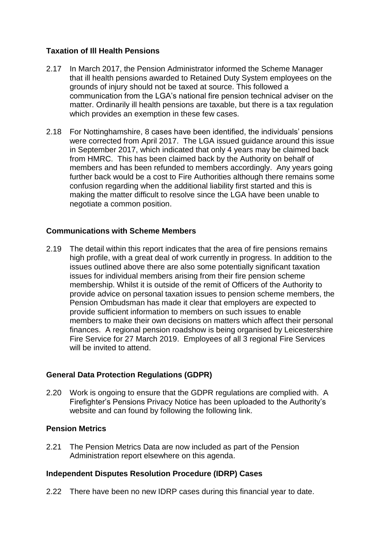# **Taxation of Ill Health Pensions**

- 2.17 In March 2017, the Pension Administrator informed the Scheme Manager that ill health pensions awarded to Retained Duty System employees on the grounds of injury should not be taxed at source. This followed a communication from the LGA's national fire pension technical adviser on the matter. Ordinarily ill health pensions are taxable, but there is a tax regulation which provides an exemption in these few cases.
- 2.18 For Nottinghamshire, 8 cases have been identified, the individuals' pensions were corrected from April 2017. The LGA issued guidance around this issue in September 2017, which indicated that only 4 years may be claimed back from HMRC. This has been claimed back by the Authority on behalf of members and has been refunded to members accordingly. Any years going further back would be a cost to Fire Authorities although there remains some confusion regarding when the additional liability first started and this is making the matter difficult to resolve since the LGA have been unable to negotiate a common position.

## **Communications with Scheme Members**

2.19 The detail within this report indicates that the area of fire pensions remains high profile, with a great deal of work currently in progress. In addition to the issues outlined above there are also some potentially significant taxation issues for individual members arising from their fire pension scheme membership. Whilst it is outside of the remit of Officers of the Authority to provide advice on personal taxation issues to pension scheme members, the Pension Ombudsman has made it clear that employers are expected to provide sufficient information to members on such issues to enable members to make their own decisions on matters which affect their personal finances. A regional pension roadshow is being organised by Leicestershire Fire Service for 27 March 2019. Employees of all 3 regional Fire Services will be invited to attend.

# **General Data Protection Regulations (GDPR)**

2.20 Work is ongoing to ensure that the GDPR regulations are complied with. A Firefighter's Pensions Privacy Notice has been uploaded to the Authority's website and can found by following the following link.

#### **Pension Metrics**

2.21 The Pension Metrics Data are now included as part of the Pension Administration report elsewhere on this agenda.

# **Independent Disputes Resolution Procedure (IDRP) Cases**

2.22 There have been no new IDRP cases during this financial year to date.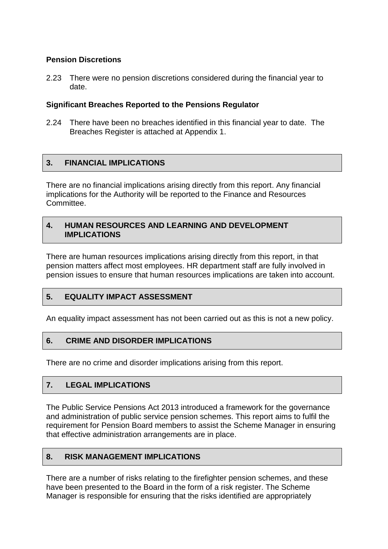# **Pension Discretions**

2.23 There were no pension discretions considered during the financial year to date.

#### **Significant Breaches Reported to the Pensions Regulator**

2.24 There have been no breaches identified in this financial year to date. The Breaches Register is attached at Appendix 1.

# **3. FINANCIAL IMPLICATIONS**

There are no financial implications arising directly from this report. Any financial implications for the Authority will be reported to the Finance and Resources **Committee.** 

#### **4. HUMAN RESOURCES AND LEARNING AND DEVELOPMENT IMPLICATIONS**

There are human resources implications arising directly from this report, in that pension matters affect most employees. HR department staff are fully involved in pension issues to ensure that human resources implications are taken into account.

# **5. EQUALITY IMPACT ASSESSMENT**

An equality impact assessment has not been carried out as this is not a new policy.

#### **6. CRIME AND DISORDER IMPLICATIONS**

There are no crime and disorder implications arising from this report.

#### **7. LEGAL IMPLICATIONS**

The Public Service Pensions Act 2013 introduced a framework for the governance and administration of public service pension schemes. This report aims to fulfil the requirement for Pension Board members to assist the Scheme Manager in ensuring that effective administration arrangements are in place.

#### **8. RISK MANAGEMENT IMPLICATIONS**

There are a number of risks relating to the firefighter pension schemes, and these have been presented to the Board in the form of a risk register. The Scheme Manager is responsible for ensuring that the risks identified are appropriately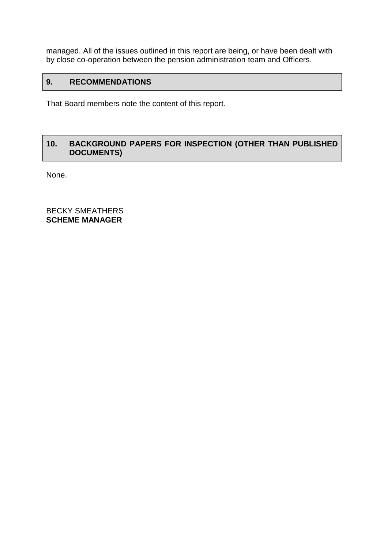managed. All of the issues outlined in this report are being, or have been dealt with by close co-operation between the pension administration team and Officers.

# **9. RECOMMENDATIONS**

That Board members note the content of this report.

# **10. BACKGROUND PAPERS FOR INSPECTION (OTHER THAN PUBLISHED DOCUMENTS)**

None.

BECKY SMEATHERS **SCHEME MANAGER**